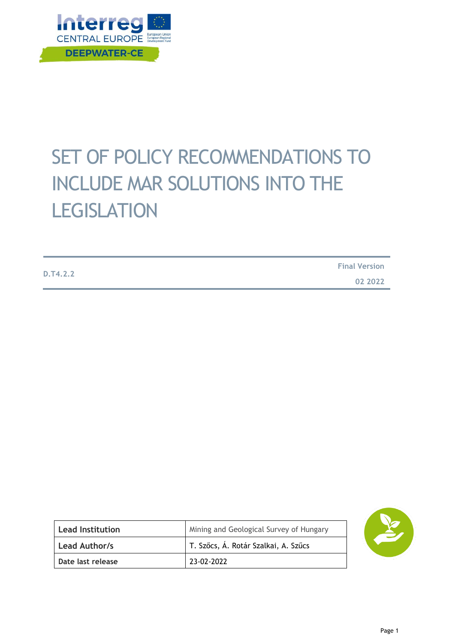

# SET OF POLICY RECOMMENDATIONS TO INCLUDE MAR SOLUTIONS INTO THE **LEGISLATION**

|          | <b>Final Version</b> |
|----------|----------------------|
| D.T4.2.2 | 02 2022              |

| <b>Lead Institution</b> | Mining and Geological Survey of Hungary |
|-------------------------|-----------------------------------------|
| Lead Author/s           | T. Szőcs, Á. Rotár Szalkai, A. Szűcs    |
| Date last release       | 23-02-2022                              |

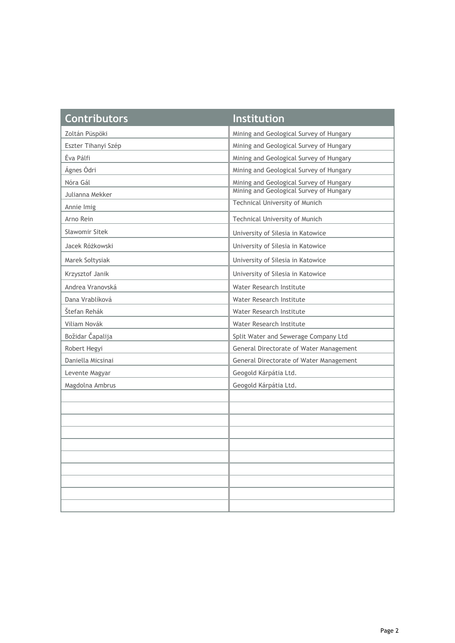| <b>Contributors</b> | <b>Institution</b>                      |
|---------------------|-----------------------------------------|
| Zoltán Püspöki      | Mining and Geological Survey of Hungary |
| Eszter Tihanyi Szép | Mining and Geological Survey of Hungary |
| Éva Pálfi           | Mining and Geological Survey of Hungary |
| Ágnes Ódri          | Mining and Geological Survey of Hungary |
| Nóra Gál            | Mining and Geological Survey of Hungary |
| Julianna Mekker     | Mining and Geological Survey of Hungary |
| Annie Imig          | <b>Technical University of Munich</b>   |
| Arno Rein           | Technical University of Munich          |
| Sławomir Sitek      | University of Silesia in Katowice       |
| Jacek Różkowski     | University of Silesia in Katowice       |
| Marek Sołtysiak     | University of Silesia in Katowice       |
| Krzysztof Janik     | University of Silesia in Katowice       |
| Andrea Vranovská    | Water Research Institute                |
| Dana Vrablíková     | Water Research Institute                |
| Štefan Rehák        | Water Research Institute                |
| Viliam Novák        | Water Research Institute                |
| Božidar Čapalija    | Split Water and Sewerage Company Ltd    |
| Robert Hegyi        | General Directorate of Water Management |
| Daniella Micsinai   | General Directorate of Water Management |
| Levente Magyar      | Geogold Kárpátia Ltd.                   |
| Magdolna Ambrus     | Geogold Kárpátia Ltd.                   |
|                     |                                         |
|                     |                                         |
|                     |                                         |
|                     |                                         |
|                     |                                         |
|                     |                                         |
|                     |                                         |
|                     |                                         |
|                     |                                         |
|                     |                                         |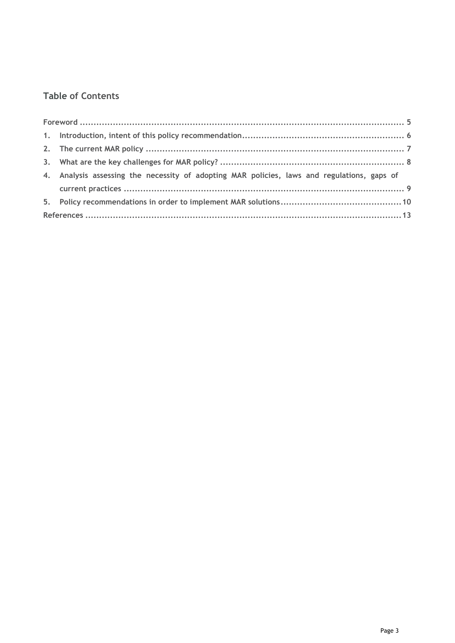### **Table of Contents**

| 4. Analysis assessing the necessity of adopting MAR policies, laws and regulations, gaps of |  |
|---------------------------------------------------------------------------------------------|--|
|                                                                                             |  |
|                                                                                             |  |
|                                                                                             |  |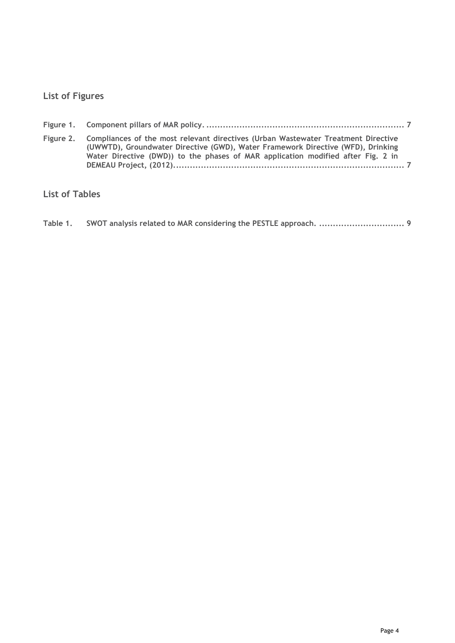### **List of Figures**

| Figure 2. Compliances of the most relevant directives (Urban Wastewater Treatment Directive<br>(UWWTD), Groundwater Directive (GWD), Water Framework Directive (WFD), Drinking<br>Water Directive (DWD)) to the phases of MAR application modified after Fig. 2 in |  |
|--------------------------------------------------------------------------------------------------------------------------------------------------------------------------------------------------------------------------------------------------------------------|--|

### **List of Tables**

| Table 1. |  |  |
|----------|--|--|
|          |  |  |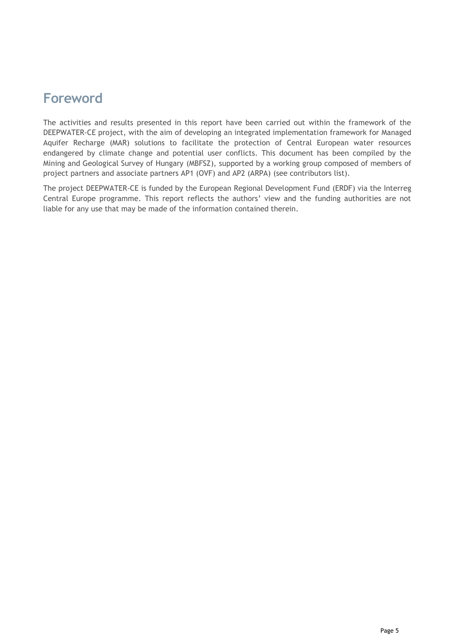### **Foreword**

The activities and results presented in this report have been carried out within the framework of the DEEPWATER-CE project, with the aim of developing an integrated implementation framework for Managed Aquifer Recharge (MAR) solutions to facilitate the protection of Central European water resources endangered by climate change and potential user conflicts. This document has been compiled by the Mining and Geological Survey of Hungary (MBFSZ), supported by a working group composed of members of project partners and associate partners AP1 (OVF) and AP2 (ARPA) (see contributors list).

The project DEEPWATER-CE is funded by the European Regional Development Fund (ERDF) via the Interreg Central Europe programme. This report reflects the authors' view and the funding authorities are not liable for any use that may be made of the information contained therein.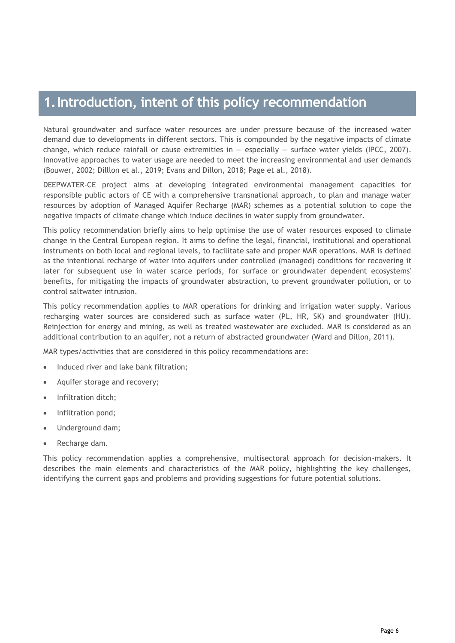### **1.Introduction, intent of this policy recommendation**

Natural groundwater and surface water resources are under pressure because of the increased water demand due to developments in different sectors. This is compounded by the negative impacts of climate change, which reduce rainfall or cause extremities in  $-$  especially  $-$  surface water yields (IPCC, 2007). Innovative approaches to water usage are needed to meet the increasing environmental and user demands (Bouwer, 2002; Dilllon et al., 2019; Evans and Dillon, 2018; Page et al., 2018).

DEEPWATER-CE project aims at developing integrated environmental management capacities for responsible public actors of CE with a comprehensive transnational approach, to plan and manage water resources by adoption of Managed Aquifer Recharge (MAR) schemes as a potential solution to cope the negative impacts of climate change which induce declines in water supply from groundwater.

This policy recommendation briefly aims to help optimise the use of water resources exposed to climate change in the Central European region. It aims to define the legal, financial, institutional and operational instruments on both local and regional levels, to facilitate safe and proper MAR operations. MAR is defined as the intentional recharge of water into aquifers under controlled (managed) conditions for recovering it later for subsequent use in water scarce periods, for surface or groundwater dependent ecosystems' benefits, for mitigating the impacts of groundwater abstraction, to prevent groundwater pollution, or to control saltwater intrusion.

This policy recommendation applies to MAR operations for drinking and irrigation water supply. Various recharging water sources are considered such as surface water (PL, HR, SK) and groundwater (HU). Reinjection for energy and mining, as well as treated wastewater are excluded. MAR is considered as an additional contribution to an aquifer, not a return of abstracted groundwater (Ward and Dillon, 2011).

MAR types/activities that are considered in this policy recommendations are:

- Induced river and lake bank filtration;
- Aquifer storage and recovery;
- Infiltration ditch;
- Infiltration pond;
- Underground dam;
- Recharge dam.

This policy recommendation applies a comprehensive, multisectoral approach for decision-makers. It describes the main elements and characteristics of the MAR policy, highlighting the key challenges, identifying the current gaps and problems and providing suggestions for future potential solutions.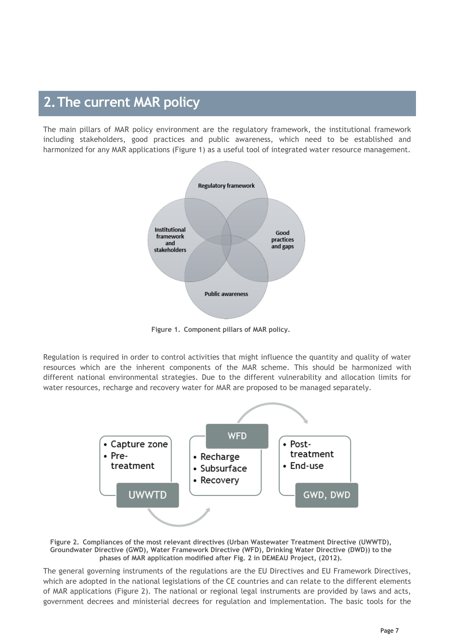## **2.The current MAR policy**

The main pillars of MAR policy environment are the regulatory framework, the institutional framework including stakeholders, good practices and public awareness, which need to be established and harmonized for any MAR applications (Figure 1) as a useful tool of integrated water resource management.



**Figure 1. Component pillars of MAR policy.**

<span id="page-6-0"></span>Regulation is required in order to control activities that might influence the quantity and quality of water resources which are the inherent components of the MAR scheme. This should be harmonized with different national environmental strategies. Due to the different vulnerability and allocation limits for water resources, recharge and recovery water for MAR are proposed to be managed separately.



<span id="page-6-1"></span>**Figure 2. Compliances of the most relevant directives (Urban Wastewater Treatment Directive (UWWTD), Groundwater Directive (GWD), Water Framework Directive (WFD), Drinking Water Directive (DWD)) to the phases of MAR application modified after Fig. 2 in DEMEAU Project, (2012).**

The general governing instruments of the regulations are the EU Directives and EU Framework Directives, which are adopted in the national legislations of the CE countries and can relate to the different elements of MAR applications (Figure 2). The national or regional legal instruments are provided by laws and acts, government decrees and ministerial decrees for regulation and implementation. The basic tools for the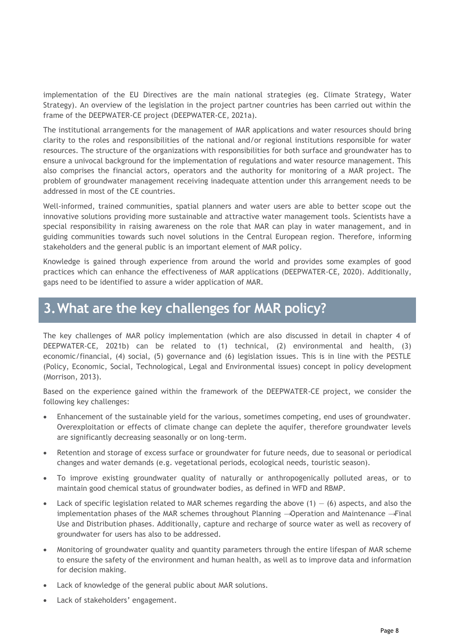implementation of the EU Directives are the main national strategies (eg. Climate Strategy, Water Strategy). An overview of the legislation in the project partner countries has been carried out within the frame of the DEEPWATER-CE project (DEEPWATER-CE, 2021a).

The institutional arrangements for the management of MAR applications and water resources should bring clarity to the roles and responsibilities of the national and/or regional institutions responsible for water resources. The structure of the organizations with responsibilities for both surface and groundwater has to ensure a univocal background for the implementation of regulations and water resource management. This also comprises the financial actors, operators and the authority for monitoring of a MAR project. The problem of groundwater management receiving inadequate attention under this arrangement needs to be addressed in most of the CE countries.

Well-informed, trained communities, spatial planners and water users are able to better scope out the innovative solutions providing more sustainable and attractive water management tools. Scientists have a special responsibility in raising awareness on the role that MAR can play in water management, and in guiding communities towards such novel solutions in the Central European region. Therefore, informing stakeholders and the general public is an important element of MAR policy.

Knowledge is gained through experience from around the world and provides some examples of good practices which can enhance the effectiveness of MAR applications (DEEPWATER-CE, 2020). Additionally, gaps need to be identified to assure a wider application of MAR.

# **3.What are the key challenges for MAR policy?**

The key challenges of MAR policy implementation (which are also discussed in detail in chapter 4 of DEEPWATER-CE, 2021b) can be related to (1) technical, (2) environmental and health, (3) economic/financial, (4) social, (5) governance and (6) legislation issues. This is in line with the PESTLE (Policy, Economic, Social, Technological, Legal and Environmental issues) concept in policy development (Morrison, 2013).

Based on the experience gained within the framework of the DEEPWATER-CE project, we consider the following key challenges:

- Enhancement of the sustainable yield for the various, sometimes competing, end uses of groundwater. Overexploitation or effects of climate change can deplete the aquifer, therefore groundwater levels are significantly decreasing seasonally or on long-term.
- Retention and storage of excess surface or groundwater for future needs, due to seasonal or periodical changes and water demands (e.g. vegetational periods, ecological needs, touristic season).
- To improve existing groundwater quality of naturally or anthropogenically polluted areas, or to maintain good chemical status of groundwater bodies, as defined in WFD and RBMP.
- Lack of specific legislation related to MAR schemes regarding the above  $(1) (6)$  aspects, and also the implementation phases of the MAR schemes throughout Planning → Operation and Maintenance → Final Use and Distribution phases. Additionally, capture and recharge of source water as well as recovery of groundwater for users has also to be addressed.
- Monitoring of groundwater quality and quantity parameters through the entire lifespan of MAR scheme to ensure the safety of the environment and human health, as well as to improve data and information for decision making.
- Lack of knowledge of the general public about MAR solutions.
- Lack of stakeholders' engagement.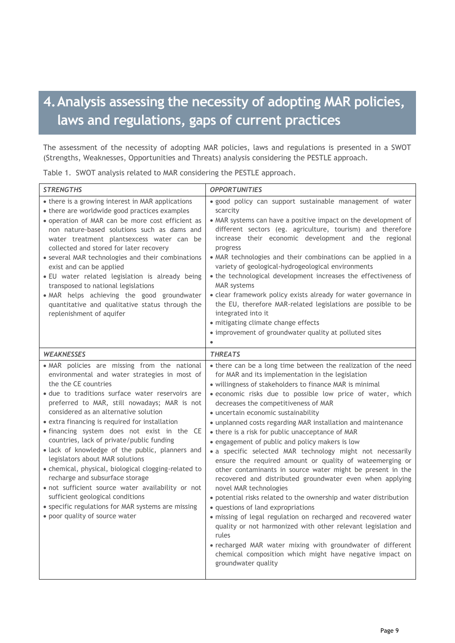# **4.Analysis assessing the necessity of adopting MAR policies, laws and regulations, gaps of current practices**

The assessment of the necessity of adopting MAR policies, laws and regulations is presented in a SWOT (Strengths, Weaknesses, Opportunities and Threats) analysis considering the PESTLE approach.

Table 1. SWOT analysis related to MAR considering the PESTLE approach.

| <b>STRENGTHS</b>                                                                                                                                                                                                                                                                                                                                                                                                                                                                                                                                                                                                                                                                                                                                                                   | <b>OPPORTUNITIES</b>                                                                                                                                                                                                                                                                                                                                                                                                                                                                                                                                                                                                                                                                                                                                                                                                                                                                                                                                                                                                                                                                                                                                                                     |
|------------------------------------------------------------------------------------------------------------------------------------------------------------------------------------------------------------------------------------------------------------------------------------------------------------------------------------------------------------------------------------------------------------------------------------------------------------------------------------------------------------------------------------------------------------------------------------------------------------------------------------------------------------------------------------------------------------------------------------------------------------------------------------|------------------------------------------------------------------------------------------------------------------------------------------------------------------------------------------------------------------------------------------------------------------------------------------------------------------------------------------------------------------------------------------------------------------------------------------------------------------------------------------------------------------------------------------------------------------------------------------------------------------------------------------------------------------------------------------------------------------------------------------------------------------------------------------------------------------------------------------------------------------------------------------------------------------------------------------------------------------------------------------------------------------------------------------------------------------------------------------------------------------------------------------------------------------------------------------|
| • there is a growing interest in MAR applications<br>• there are worldwide good practices examples<br>· operation of MAR can be more cost efficient as<br>non nature-based solutions such as dams and<br>water treatment plantsexcess water can be<br>collected and stored for later recovery<br>• several MAR technologies and their combinations<br>exist and can be applied<br>· EU water related legislation is already being<br>transposed to national legislations<br>. MAR helps achieving the good groundwater<br>quantitative and qualitative status through the<br>replenishment of aquifer                                                                                                                                                                              | · good policy can support sustainable management of water<br>scarcity<br>• MAR systems can have a positive impact on the development of<br>different sectors (eg. agriculture, tourism) and therefore<br>increase their economic development and the regional<br>progress<br>• MAR technologies and their combinations can be applied in a<br>variety of geological-hydrogeological environments<br>• the technological development increases the effectiveness of<br><b>MAR</b> systems<br>· clear framework policy exists already for water governance in<br>the EU, therefore MAR-related legislations are possible to be<br>integrated into it<br>· mitigating climate change effects<br>• improvement of groundwater quality at polluted sites<br>$\bullet$                                                                                                                                                                                                                                                                                                                                                                                                                         |
| <b>WEAKNESSES</b>                                                                                                                                                                                                                                                                                                                                                                                                                                                                                                                                                                                                                                                                                                                                                                  | <b>THREATS</b>                                                                                                                                                                                                                                                                                                                                                                                                                                                                                                                                                                                                                                                                                                                                                                                                                                                                                                                                                                                                                                                                                                                                                                           |
| . MAR policies are missing from the national<br>environmental and water strategies in most of<br>the the CE countries<br>· due to traditions surface water reservoirs are<br>preferred to MAR, still nowadays; MAR is not<br>considered as an alternative solution<br>• extra financing is required for installation<br>· financing system does not exist in the CE<br>countries, lack of private/public funding<br>· lack of knowledge of the public, planners and<br>legislators about MAR solutions<br>· chemical, physical, biological clogging-related to<br>recharge and subsurface storage<br>· not sufficient source water availability or not<br>sufficient geological conditions<br>• specific regulations for MAR systems are missing<br>• poor quality of source water | • there can be a long time between the realization of the need<br>for MAR and its implementation in the legislation<br>· willingness of stakeholders to finance MAR is minimal<br>· economic risks due to possible low price of water, which<br>decreases the competitiveness of MAR<br>· uncertain economic sustainability<br>· unplanned costs regarding MAR installation and maintenance<br>• there is a risk for public unacceptance of MAR<br>· engagement of public and policy makers is low<br>· a specific selected MAR technology might not necessarily<br>ensure the required amount or quality of wateemerging or<br>other contaminants in source water might be present in the<br>recovered and distributed groundwater even when applying<br>novel MAR technologies<br>· potential risks related to the ownership and water distribution<br>· questions of land expropriations<br>· missing of legal regulation on recharged and recovered water<br>quality or not harmonized with other relevant legislation and<br>rules<br>· recharged MAR water mixing with groundwater of different<br>chemical composition which might have negative impact on<br>groundwater quality |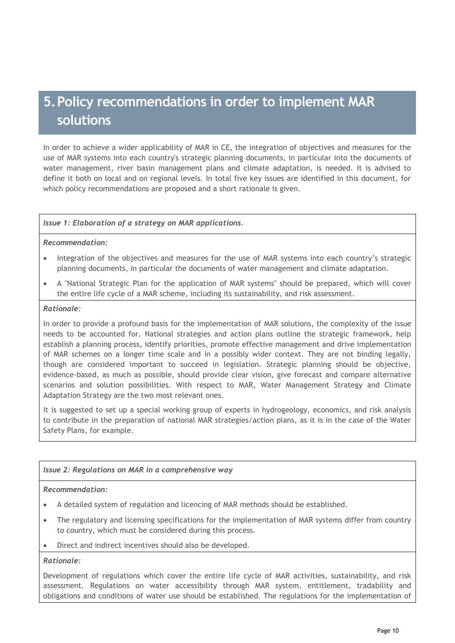# **5.Policy recommendations in order to implement MAR solutions**

In order to achieve a wider applicability of MAR in CE, the integration of objectives and measures for the use of MAR systems into each country's strategic planning documents, in particular into the documents of water management, river basin management plans and climate adaptation, is needed. It is advised to define it both on local and on regional levels. In total five key issues are identified in this document, for which policy recommendations are proposed and a short rationale is given.

#### *Issue 1: Elaboration of a strategy on MAR applications.*

#### *Recommendation:*

- Integration of the objectives and measures for the use of MAR systems into each country's strategic planning documents, in particular the documents of water management and climate adaptation.
- A "National Strategic Plan for the application of MAR systems" should be prepared, which will cover the entire life cycle of a MAR scheme, including its sustainability, and risk assessment.

#### *Rationale:*

In order to provide a profound basis for the implementation of MAR solutions, the complexity of the issue needs to be accounted for. National strategies and action plans outline the strategic framework, help establish a planning process, identify priorities, promote effective management and drive implementation of MAR schemes on a longer time scale and in a possibly wider context. They are not binding legally, though are considered important to succeed in legislation. Strategic planning should be objective, evidence-based, as much as possible, should provide clear vision, give forecast and compare alternative scenarios and solution possibilities. With respect to MAR, Water Management Strategy and Climate Adaptation Strategy are the two most relevant ones.

It is suggested to set up a special working group of experts in hydrogeology, economics, and risk analysis to contribute in the preparation of national MAR strategies/action plans, as it is in the case of the Water Safety Plans, for example.

#### *Issue 2: Regulations on MAR in a comprehensive way*

#### *Recommendation:*

- A detailed system of regulation and licencing of MAR methods should be established.
- The regulatory and licensing specifications for the implementation of MAR systems differ from country to country, which must be considered during this process.
- Direct and indirect incentives should also be developed.

#### *Rationale:*

Development of regulations which cover the entire life cycle of MAR activities, sustainability, and risk assessment. Regulations on water accessibility through MAR system, entitlement, tradability and obligations and conditions of water use should be established. The regulations for the implementation of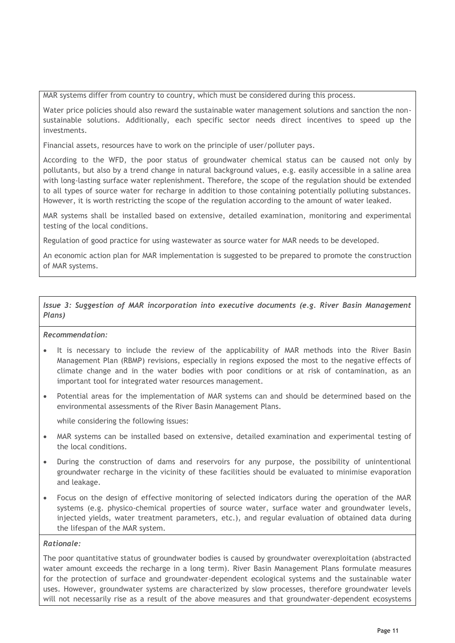MAR systems differ from country to country, which must be considered during this process.

Water price policies should also reward the sustainable water management solutions and sanction the nonsustainable solutions. Additionally, each specific sector needs direct incentives to speed up the investments.

Financial assets, resources have to work on the principle of user/polluter pays.

According to the WFD, the poor status of groundwater chemical status can be caused not only by pollutants, but also by a trend change in natural background values, e.g. easily accessible in a saline area with long-lasting surface water replenishment. Therefore, the scope of the regulation should be extended to all types of source water for recharge in addition to those containing potentially polluting substances. However, it is worth restricting the scope of the regulation according to the amount of water leaked.

MAR systems shall be installed based on extensive, detailed examination, monitoring and experimental testing of the local conditions.

Regulation of good practice for using wastewater as source water for MAR needs to be developed.

An economic action plan for MAR implementation is suggested to be prepared to promote the construction of MAR systems.

#### *Issue 3: Suggestion of MAR incorporation into executive documents (e.g. River Basin Management Plans)*

#### *Recommendation:*

- It is necessary to include the review of the applicability of MAR methods into the River Basin Management Plan (RBMP) revisions, especially in regions exposed the most to the negative effects of climate change and in the water bodies with poor conditions or at risk of contamination, as an important tool for integrated water resources management.
- Potential areas for the implementation of MAR systems can and should be determined based on the environmental assessments of the River Basin Management Plans.

while considering the following issues:

- MAR systems can be installed based on extensive, detailed examination and experimental testing of the local conditions.
- During the construction of dams and reservoirs for any purpose, the possibility of unintentional groundwater recharge in the vicinity of these facilities should be evaluated to minimise evaporation and leakage.
- Focus on the design of effective monitoring of selected indicators during the operation of the MAR systems (e.g. physico-chemical properties of source water, surface water and groundwater levels, injected yields, water treatment parameters, etc.), and regular evaluation of obtained data during the lifespan of the MAR system.

#### *Rationale:*

The poor quantitative status of groundwater bodies is caused by groundwater overexploitation (abstracted water amount exceeds the recharge in a long term). River Basin Management Plans formulate measures for the protection of surface and groundwater-dependent ecological systems and the sustainable water uses. However, groundwater systems are characterized by slow processes, therefore groundwater levels will not necessarily rise as a result of the above measures and that groundwater-dependent ecosystems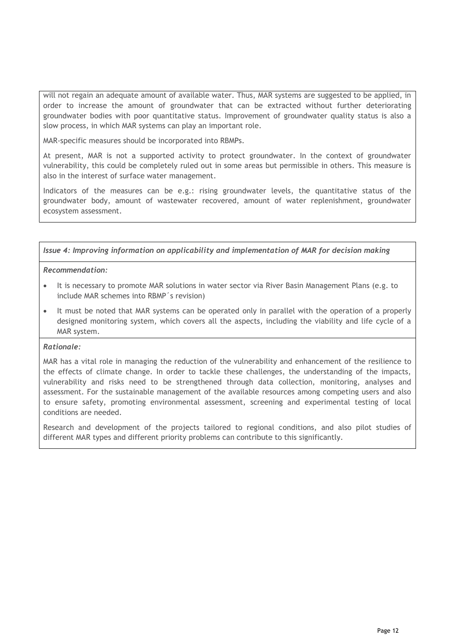will not regain an adequate amount of available water. Thus, MAR systems are suggested to be applied, in order to increase the amount of groundwater that can be extracted without further deteriorating groundwater bodies with poor quantitative status. Improvement of groundwater quality status is also a slow process, in which MAR systems can play an important role.

MAR-specific measures should be incorporated into RBMPs.

At present, MAR is not a supported activity to protect groundwater. In the context of groundwater vulnerability, this could be completely ruled out in some areas but permissible in others. This measure is also in the interest of surface water management.

Indicators of the measures can be e.g.: rising groundwater levels, the quantitative status of the groundwater body, amount of wastewater recovered, amount of water replenishment, groundwater ecosystem assessment.

*Issue 4: Improving information on applicability and implementation of MAR for decision making*

#### *Recommendation:*

- It is necessary to promote MAR solutions in water sector via River Basin Management Plans (e.g. to include MAR schemes into RBMP´s revision)
- It must be noted that MAR systems can be operated only in parallel with the operation of a properly designed monitoring system, which covers all the aspects, including the viability and life cycle of a MAR system.

#### *Rationale:*

MAR has a vital role in managing the reduction of the vulnerability and enhancement of the resilience to the effects of climate change. In order to tackle these challenges, the understanding of the impacts, vulnerability and risks need to be strengthened through data collection, monitoring, analyses and assessment. For the sustainable management of the available resources among competing users and also to ensure safety, promoting environmental assessment, screening and experimental testing of local conditions are needed.

Research and development of the projects tailored to regional conditions, and also pilot studies of different MAR types and different priority problems can contribute to this significantly.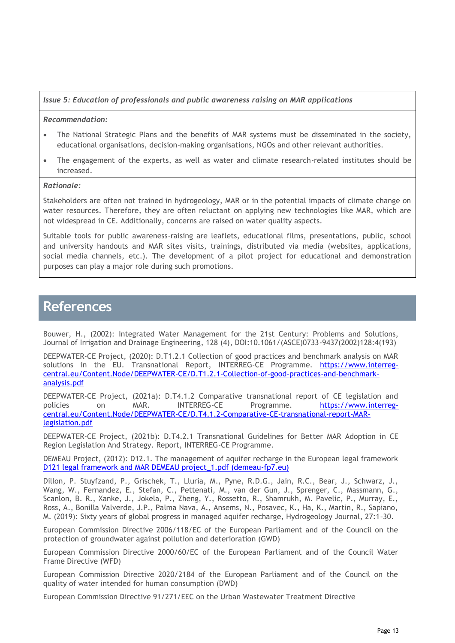#### *Issue 5: Education of professionals and public awareness raising on MAR applications*

#### *Recommendation:*

- The National Strategic Plans and the benefits of MAR systems must be disseminated in the society, educational organisations, decision-making organisations, NGOs and other relevant authorities.
- The engagement of the experts, as well as water and climate research-related institutes should be increased.

#### *Rationale:*

Stakeholders are often not trained in hydrogeology, MAR or in the potential impacts of climate change on water resources. Therefore, they are often reluctant on applying new technologies like MAR, which are not widespread in CE. Additionally, concerns are raised on water quality aspects.

Suitable tools for public awareness-raising are leaflets, educational films, presentations, public, school and university handouts and MAR sites visits, trainings, distributed via media (websites, applications, social media channels, etc.). The development of a pilot project for educational and demonstration purposes can play a major role during such promotions.

### **References**

Bouwer, H., (2002): Integrated Water Management for the 21st Century: Problems and Solutions, Journal of Irrigation and Drainage Engineering, 128 (4), DOI:10.1061/(ASCE)0733-9437(2002)128:4(193)

DEEPWATER-CE Project, (2020): D.T1.2.1 Collection of good practices and benchmark analysis on MAR solutions in the EU. Transnational Report, INTERREG-CE Programme. [https://www.interreg](https://www.interreg-central.eu/Content.Node/DEEPWATER-CE/D.T1.2.1-Collection-of-good-practices-and-benchmark-analysis.pdf)[central.eu/Content.Node/DEEPWATER-CE/D.T1.2.1-Collection-of-good-practices-and-benchmark](https://www.interreg-central.eu/Content.Node/DEEPWATER-CE/D.T1.2.1-Collection-of-good-practices-and-benchmark-analysis.pdf)[analysis.pdf](https://www.interreg-central.eu/Content.Node/DEEPWATER-CE/D.T1.2.1-Collection-of-good-practices-and-benchmark-analysis.pdf)

DEEPWATER-CE Project, (2021a): D.T4.1.2 Comparative transnational report of CE legislation and policies on MAR. INTERREG-CE Programme. [https://www.interreg](https://www.interreg-central.eu/Content.Node/DEEPWATER-CE/D.T4.1.2-Comparative-CE-transnational-report-MAR-legislation.pdf)[central.eu/Content.Node/DEEPWATER-CE/D.T4.1.2-Comparative-CE-transnational-report-MAR](https://www.interreg-central.eu/Content.Node/DEEPWATER-CE/D.T4.1.2-Comparative-CE-transnational-report-MAR-legislation.pdf)[legislation.pdf](https://www.interreg-central.eu/Content.Node/DEEPWATER-CE/D.T4.1.2-Comparative-CE-transnational-report-MAR-legislation.pdf)

DEEPWATER-CE Project, (2021b): D.T4.2.1 Transnational Guidelines for Better MAR Adoption in CE Region Legislation And Strategy. Report, INTERREG-CE Programme.

DEMEAU Project, (2012): D12.1. The management of aquifer recharge in the European legal framework [D121 legal framework and MAR DEMEAU project\\_1.pdf \(demeau-fp7.eu\)](https://demeau-fp7.eu/sites/files/D121%20legal%20framework%20and%20MAR%20DEMEAU%20project_1.pdf)

Dillon, P. Stuyfzand, P., Grischek, T., Lluria, M., Pyne, R.D.G., Jain, R.C., Bear, J., Schwarz, J., Wang, W., Fernandez, E., Stefan, C., Pettenati, M., van der Gun, J., Sprenger, C., Massmann, G., Scanlon, B. R., Xanke, J., Jokela, P., Zheng, Y., Rossetto, R., Shamrukh, M. Pavelic, P., Murray, E., Ross, A., Bonilla Valverde, J.P., Palma Nava, A., Ansems, N., Posavec, K., Ha, K., Martin, R., Sapiano, M. (2019): Sixty years of global progress in managed aquifer recharge, Hydrogeology Journal, 27:1–30.

European Commission Directive 2006/118/EC of the European Parliament and of the Council on the protection of groundwater against pollution and deterioration (GWD)

European Commission Directive 2000/60/EC of the European Parliament and of the Council Water Frame Directive (WFD)

European Commission Directive 2020/2184 of the European Parliament and of the Council on the quality of water intended for human consumption (DWD)

European Commission Directive 91/271/EEC on the Urban Wastewater Treatment Directive